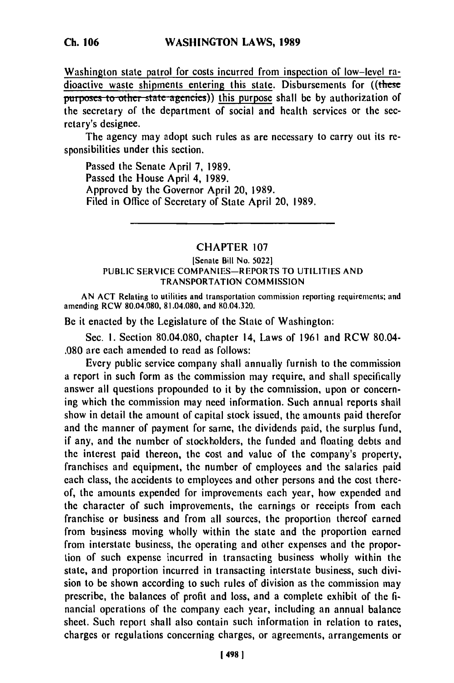**Ch. 106**

Washington state patrol for costs incurred from inspection of low-level radioactive waste shipments entering this state. Disbursements for ((these **purposes to other state agencies)) this purpose shall be by authorization of** the secretary of the department of social and health services or the **sec**retary's designee.

The agency may adopt such rules as are necessary to carry out its responsibilities under this section.

Passed the Senate April **7, 1989.** Passed the House April 4, **1989.** Approved **by** the Governor April 20, **1989.** Filed in Office of Secretary of State April 20, **1989.**

## CHAPTER **107**

## **[Senate** Bill No. 50221 **PUBLIC** SERVICE COMPANIES-REPORTS TO **UTILITIES AND** TRANSPORTATION **COMMISSION**

**AN ACT** Relating to utilities and transportation commission reporting requirements; and amending RCW 80.04.080, 81.04.080, and 80.04.320.

Be it enacted **by** the Legislature of the State of Washington:

Sec. i. Section 80.04.080, chapter 14, Laws of 1961 and RCW 80.04- .080 are each amended to read as follows:

Every public service company shall annually furnish to the commission a report in such form as the commission may require, and shall specifically answer all questions propounded to it **by** the commission, upon or concerning which the commission may need information. Such annual reports shall show in detail the amount of capital stock issued, the amounts paid therefor and the manner of payment for same, the dividends paid, the surplus fund, if any, and the number of stockholders, the funded and floating debts and the interest paid thereon, the cost and value of the company's property, franchises and equipment, the number of employees and the salaries paid each class, the accidents to employees and other persons and the cost thereof, the amounts expended for improvements each year, how expended and the character of such improvements, the earnings or receipts from each franchise or business and from all sources, the proportion thereof earned from business moving wholly within the state and the proportion earned from interstate business, the operating and other expenses and the proportion of such expense incurred in transacting business wholly within the state, and proportion incurred in transacting interstate business, such division to be shown according to such rules of division as the commission may prescribe, the balances of profit and loss, and a complete exhibit of the financial operations of the company each year, including an annual balance sheet. Such report shall also contain such information in relation to rates, charges or regulations concerning charges, or agreements, arrangements or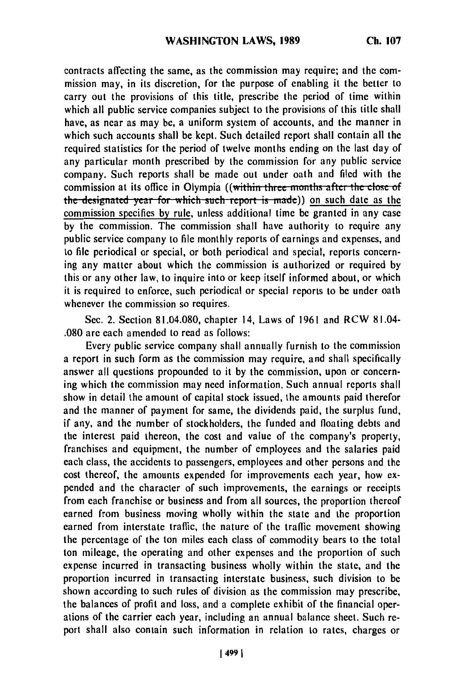contracts affecting the same, as the commission may require; and the commission may, in its discretion, for the purpose of enabling it the better to carry out the provisions of this title, prescribe the period of time within which all public service companies subject to the provisions of this title shall have, as near as may **be,** a uniform system of accounts, and the manner in which such accounts shall be kept. Such detailed report shall contain all the required statistics for the period of twelve months ending on the last day of any particular month prescribed **by** the commission for any public service company. Such reports shall be made out under oath and filed with the commission at its office in Olympia ((within three months after the close of the designated vear for which such report is made)) on such date as the commission specifies by rule, unless additional time **be** granted in any case **by** the commission. The commission shall have authority to require any public service company to file monthly reports of earnings and expenses, and to file periodical or special, or both periodical and special, reports concerning any matter about which the commission is authorized or required **by** this or any other law, to inquire into or keep itself informed about, or which it is required to enforce, such periodical or special reports to be under oath whenever the commission so requires.

Sec. 2. Section 81.04.080, chapter 14, Laws of 1961 and RCW 81.04- .080 are each amended to read as follows:

Every public service company shall annually furnish to the commission a report in such form as the commission may require, and shall specifically answer all questions propounded to it **by** the commission, upon or concerning which the commission may need information. Such annual reports shall show in detail the amount of capital stock issued, the amounts paid therefor and the manner of payment for same, the dividends paid, the surplus fund, if any, and the number of stockholders, the funded and floating debts and the interest paid thereon, the cost and value of the company's property, franchises and equipment, the number of employees and the salaries paid each class, the accidents to passengers, employees and other persons and the cost thereof, the amounts expended for improvements each year, how expended and the character of such improvements, the earnings or receipts from each franchise or business and from all sources, the proportion thereof earned from business moving wholly within the state and the proportion earned from interstate traffic, the nature of the traffic movement showing the percentage of the ton miles each class of commodity bears to the total ton mileage, the operating and other expenses and the proportion of such expense incurred in transacting business wholly within the state, and the proportion incurred in transacting interstate business, such division to **be** shown according to such rules of division as the commission may prescribe, the balances of profit and loss, and a complete exhibit of the financial operations of the carrier each year, including an annual balance sheet. Such **re**port shall also contain such information in relation to rates, charges or